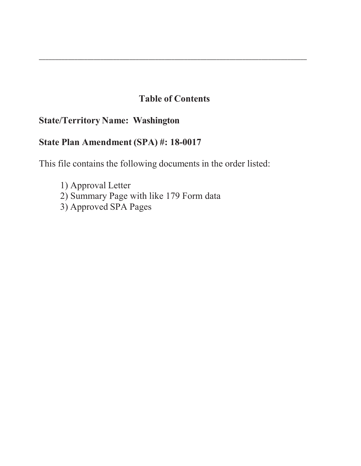# **Table of Contents**

\_\_\_\_\_\_\_\_\_\_\_\_\_\_\_\_\_\_\_\_\_\_\_\_\_\_\_\_\_\_\_\_\_\_\_\_\_\_\_\_\_\_\_\_\_\_\_\_\_\_\_\_\_\_\_\_\_\_\_\_\_\_\_\_\_\_\_\_\_\_\_\_\_\_\_\_\_\_\_\_\_\_\_

# **State/Territory Name: Washington**

# **State Plan Amendment (SPA) #: 18-0017**

This file contains the following documents in the order listed:

1) Approval Letter 2) Summary Page with like 179 Form data 3) Approved SPA Pages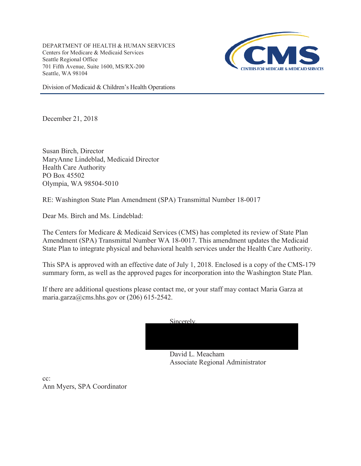DEPARTMENT OF HEALTH & HUMAN SERVICES Centers for Medicare & Medicaid Services Seattle Regional Office 701 Fifth Avenue, Suite 1600, MS/RX-200 Seattle, WA 98104



Division of Medicaid & Children's Health Operations

December 21, 2018

Susan Birch, Director MaryAnne Lindeblad, Medicaid Director Health Care Authority PO Box 45502 Olympia, WA 98504-5010

RE: Washington State Plan Amendment (SPA) Transmittal Number 18-0017

Dear Ms. Birch and Ms. Lindeblad:

The Centers for Medicare & Medicaid Services (CMS) has completed its review of State Plan Amendment (SPA) Transmittal Number WA 18-0017. This amendment updates the Medicaid State Plan to integrate physical and behavioral health services under the Health Care Authority.

This SPA is approved with an effective date of July 1, 2018. Enclosed is a copy of the CMS-179 summary form, as well as the approved pages for incorporation into the Washington State Plan.

If there are additional questions please contact me, or your staff may contact Maria Garza at maria.garza@cms.hhs.gov or  $(206)$  615-2542.



Associate Regional Administrator

cc: Ann Myers, SPA Coordinator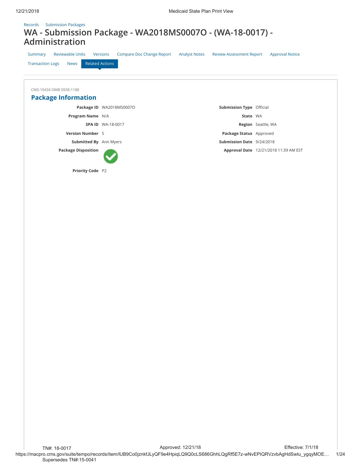## Records / Submission Packages **WA - Submission Package - WA2018MS0007O - (WA-18-0017) - Administration**

| <b>Reviewable Units</b><br>Summary<br><b>Related Actions</b><br><b>Transaction Logs</b><br><b>News</b> | <b>Compare Doc Change Report</b><br>Versions | <b>Analyst Notes</b><br><b>Review Assessment Report</b> | <b>Approval Notice</b>                |
|--------------------------------------------------------------------------------------------------------|----------------------------------------------|---------------------------------------------------------|---------------------------------------|
| CMS-10434 OMB 0938-1188<br><b>Package Information</b>                                                  |                                              |                                                         |                                       |
|                                                                                                        | Package ID WA2018MS0007O                     | <b>Submission Type Official</b>                         |                                       |
| Program Name N/A                                                                                       |                                              | State WA                                                |                                       |
|                                                                                                        | <b>SPA ID WA-18-0017</b>                     |                                                         | <b>Region</b> Seattle, WA             |
| <b>Version Number 5</b>                                                                                |                                              | Package Status Approved                                 |                                       |
| Submitted By Ann Myers                                                                                 |                                              | Submission Date 9/24/2018                               |                                       |
| <b>Package Disposition</b>                                                                             |                                              |                                                         | Approval Date 12/21/2018 11:39 AM EST |
| Priority Code P2                                                                                       |                                              |                                                         |                                       |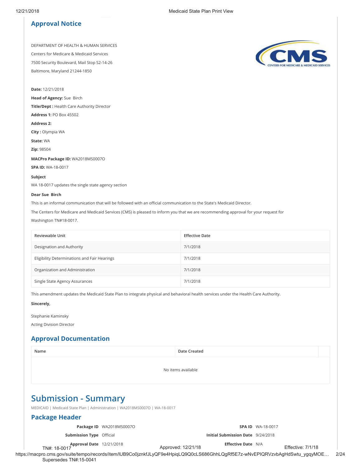## **Approval Notice**

DEPARTMENT OF HEALTH & HUMAN SERVICES Centers for Medicare & Medicaid Services 7500 Security Boulevard, Mail Stop S2-14-26 Baltimore, Maryland 21244-1850

**Date:** 12/21/2018

**Head of Agency:** Sue Birch

**Title/Dept :** Health Care Authority Director

**Address 1:** PO Box 45502

**Address 2:** 

**City :** Olympia WA

**State:** WA

**Zip:** 98504

**MACPro Package ID:** WA2018MS0007O

**SPA ID:** WA-18-0017

### **Subject**

WA 18-0017 updates the single state agency section

#### **Dear Sue Birch**

This is an informal communication that will be followed with an official communication to the State's Medicaid Director.

The Centers for Medicare and Medicaid Services (CMS) is pleased to inform you that we are recommending approval for your request for Washington TN#18-0017.

| <b>Reviewable Unit</b>                       | <b>Effective Date</b> |
|----------------------------------------------|-----------------------|
| Designation and Authority                    | 7/1/2018              |
| Eligibility Determinations and Fair Hearings | 7/1/2018              |
| Organization and Administration              | 7/1/2018              |
| Single State Agency Assurances               | 7/1/2018              |

This amendment updates the Medicaid State Plan to integrate physical and behavioral health services under the Health Care Authority.

**Sincerely,**

Stephanie Kaminsky Acting Division Director

## **Approval Documentation**

Supersedes TN#:15-0041

https://macpro.cms.gov/suite/tempo/records/item/lUB9Co0jznkfJLyQF9e4HpiqLQ9Q0cLS686GhhLQgRf5E7z-wNvEPIQRVzvbAgHdSwtu\_ygqyMOE… 2/24 **Name Date Created** No items available **Submission - Summary** MEDICAID | Medicaid State Plan | Administration | WA2018MS0007O | WA-18-0017 **Package Header Package ID** WA2018MS0007O **Submission Type** Official **Approval Date** 12/21/2018 TN#: 18-0017 **SPA ID** WA-18-0017 **Initial Submission Date** 9/24/2018 **Eſective Date** N/A Approved: 12/21/18 Effective: 7/1/18

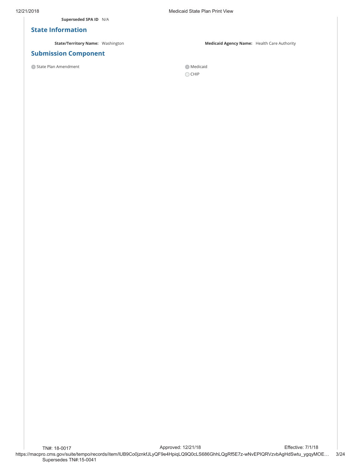**Superseded SPA ID** N/A

### **State Information**

## **Submission Component**

O State Plan Amendment Medicaid

12/21/2018 Medicaid State Plan Print View

**State/Territory Name:** Washington **Medicaid Agency Name:** Health Care Authority

 $\bigcirc$  CHIP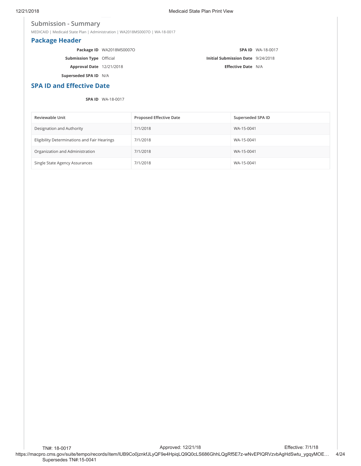### **Submission - Summary**

MEDICAID | Medicaid State Plan | Administration | WA2018MS0007O | WA-18-0017

## **Package Header**

|                                 | Package ID WA2018MS0007O |                                          | <b>SPA ID</b> WA-18-0017 |
|---------------------------------|--------------------------|------------------------------------------|--------------------------|
| <b>Submission Type Official</b> |                          | <b>Initial Submission Date</b> 9/24/2018 |                          |
| <b>Approval Date</b> 12/21/2018 |                          | <b>Effective Date</b> N/A                |                          |
| Superseded SPA ID N/A           |                          |                                          |                          |

## **SPA ID and Effective Date**

### **SPA ID** WA-18-0017

| Reviewable Unit                              | <b>Proposed Effective Date</b> | Superseded SPA ID |
|----------------------------------------------|--------------------------------|-------------------|
| Designation and Authority                    | 7/1/2018                       | WA-15-0041        |
| Eligibility Determinations and Fair Hearings | 7/1/2018                       | WA-15-0041        |
| Organization and Administration              | 7/1/2018                       | WA-15-0041        |
| Single State Agency Assurances               | 7/1/2018                       | WA-15-0041        |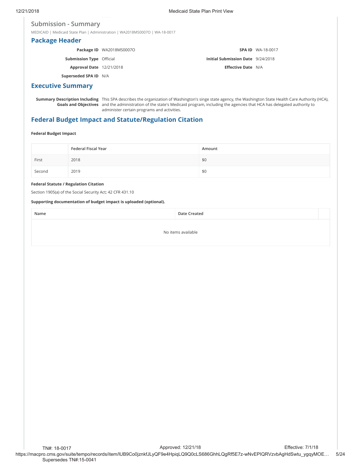### **Submission - Summary**

MEDICAID | Medicaid State Plan | Administration | WA2018MS0007O | WA-18-0017

## **Package Header**

|                                 | Package ID WA2018MS0007O |                                          | <b>SPA ID WA-18-0017</b> |
|---------------------------------|--------------------------|------------------------------------------|--------------------------|
| <b>Submission Type Official</b> |                          | <b>Initial Submission Date</b> 9/24/2018 |                          |
| <b>Approval Date</b> 12/21/2018 |                          | <b>Effective Date N/A</b>                |                          |
| Superseded SPA ID N/A           |                          |                                          |                          |

## **Executive Summary**

**Summary Description Including** This SPA describes the organization of Washington's singe state agency, the Washington State Health Care Authority (HCA), **Goals and Objectives** and the administration of the state's Medicaid program, including the agencies that HCA has delegated authority to administer certain programs and activities.

## **Federal Budget Impact and Statute/Regulation Citation**

### **Federal Budget Impact**

|        | Federal Fiscal Year | Amount |
|--------|---------------------|--------|
| First  | 2018                | \$0    |
| Second | 2019                | \$0    |

### **Federal Statute / Regulation Citation**

Section 1905(a) of the Social Security Act; 42 CFR 431.10

### **Supporting documentation of budget impact is uploaded (optional).**

**Name Date Created**

No items available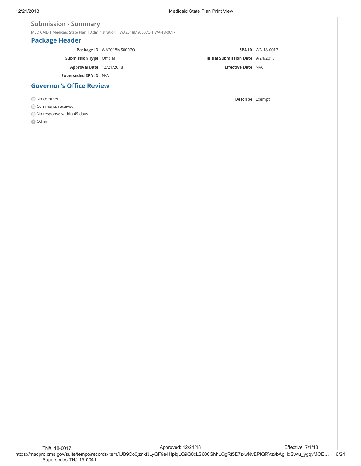### **Submission - Summary**

MEDICAID | Medicaid State Plan | Administration | WA2018MS0007O | WA-18-0017

## **Package Header**

|                                 | Package ID WA2018MS0007O |                                          | <b>SPA ID WA-18-0017</b> |
|---------------------------------|--------------------------|------------------------------------------|--------------------------|
| <b>Submission Type Official</b> |                          | <b>Initial Submission Date</b> 9/24/2018 |                          |
| <b>Approval Date</b> 12/21/2018 |                          | <b>Effective Date N/A</b>                |                          |
| Superseded SPA ID N/A           |                          |                                          |                          |
| <b>Governor's Office Review</b> |                          |                                          |                          |

Comments received

 $\bigcirc$  No response within 45 days

**O** Other

No comment **Describe** Exempt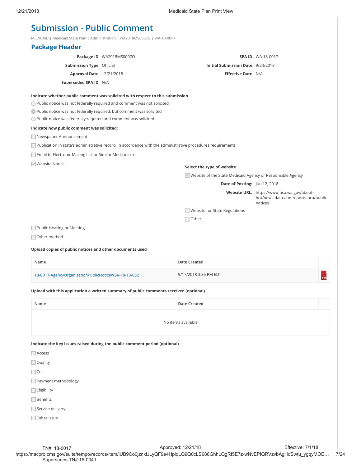MEDICAID | Medicaid State Plan | Administration | WA2018MS0007O | WA-18-0017

|                                                                                                                                                   | MEDICAID   Medicald State Plan   Administration   WAZUT8MS0007O   WA-18-0017                                |                                                              |                                                                                                |
|---------------------------------------------------------------------------------------------------------------------------------------------------|-------------------------------------------------------------------------------------------------------------|--------------------------------------------------------------|------------------------------------------------------------------------------------------------|
| <b>Package Header</b>                                                                                                                             |                                                                                                             |                                                              |                                                                                                |
|                                                                                                                                                   | Package ID WA2018MS0007O                                                                                    |                                                              | <b>SPA ID</b> WA-18-0017                                                                       |
| <b>Submission Type Official</b>                                                                                                                   |                                                                                                             | Initial Submission Date 9/24/2018                            |                                                                                                |
| Approval Date 12/21/2018                                                                                                                          |                                                                                                             | <b>Effective Date N/A</b>                                    |                                                                                                |
| Superseded SPA ID N/A                                                                                                                             |                                                                                                             |                                                              |                                                                                                |
| O Public notice was not federally required and comment was not solicited<br>• Public notice was not federally required, but comment was solicited | Indicate whether public comment was solicited with respect to this submission.                              |                                                              |                                                                                                |
| $\bigcirc$ Public notice was federally required and comment was solicited                                                                         |                                                                                                             |                                                              |                                                                                                |
| Indicate how public comment was solicited:                                                                                                        |                                                                                                             |                                                              |                                                                                                |
| Newspaper Announcement                                                                                                                            |                                                                                                             |                                                              |                                                                                                |
|                                                                                                                                                   | Publication in state's administrative record, in accordance with the administrative procedures requirements |                                                              |                                                                                                |
| Email to Electronic Mailing List or Similar Mechanism                                                                                             |                                                                                                             |                                                              |                                                                                                |
| <b>▼</b> Website Notice                                                                                                                           |                                                                                                             |                                                              |                                                                                                |
|                                                                                                                                                   |                                                                                                             | Select the type of website                                   |                                                                                                |
|                                                                                                                                                   |                                                                                                             | √ Website of the State Medicaid Agency or Responsible Agency |                                                                                                |
|                                                                                                                                                   |                                                                                                             | Date of Posting: Jun 12, 2018                                |                                                                                                |
|                                                                                                                                                   |                                                                                                             |                                                              | Website URL: https://www.hca.wa.gov/about-<br>hca/news-data-and-reports-hca/public-<br>notices |
|                                                                                                                                                   |                                                                                                             | Website for State Regulations                                |                                                                                                |
|                                                                                                                                                   |                                                                                                             | $\Box$ Other                                                 |                                                                                                |
| Public Hearing or Meeting                                                                                                                         |                                                                                                             |                                                              |                                                                                                |
| Other method                                                                                                                                      |                                                                                                             |                                                              |                                                                                                |
| Upload copies of public notices and other documents used                                                                                          |                                                                                                             |                                                              |                                                                                                |
| Name                                                                                                                                              |                                                                                                             | Date Created                                                 |                                                                                                |
| 18-0017-AgencyOrganizationPublicNoticeWSR-18-13-032                                                                                               |                                                                                                             | 9/17/2018 3:35 PM EDT                                        | PD                                                                                             |
|                                                                                                                                                   | Upload with this application a written summary of public comments received (optional)                       |                                                              |                                                                                                |
| Name                                                                                                                                              |                                                                                                             | Date Created                                                 |                                                                                                |
|                                                                                                                                                   |                                                                                                             |                                                              |                                                                                                |
|                                                                                                                                                   |                                                                                                             | No items available                                           |                                                                                                |
| Indicate the key issues raised during the public comment period (optional)                                                                        |                                                                                                             |                                                              |                                                                                                |
| $\Box$ Access                                                                                                                                     |                                                                                                             |                                                              |                                                                                                |
| $\Box$ Quality                                                                                                                                    |                                                                                                             |                                                              |                                                                                                |
| $\Box$ Cost                                                                                                                                       |                                                                                                             |                                                              |                                                                                                |
| Payment methodology                                                                                                                               |                                                                                                             |                                                              |                                                                                                |
| <b>Eligibility</b>                                                                                                                                |                                                                                                             |                                                              |                                                                                                |
| Benefits                                                                                                                                          |                                                                                                             |                                                              |                                                                                                |
| Service delivery                                                                                                                                  |                                                                                                             |                                                              |                                                                                                |
| Other issue                                                                                                                                       |                                                                                                             |                                                              |                                                                                                |
|                                                                                                                                                   |                                                                                                             |                                                              |                                                                                                |
|                                                                                                                                                   |                                                                                                             |                                                              |                                                                                                |
|                                                                                                                                                   |                                                                                                             |                                                              |                                                                                                |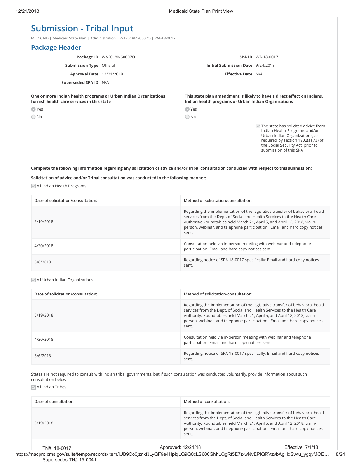## **Submission - Tribal Input**

MEDICAID | Medicaid State Plan | Administration | WA2018MS0007O | WA-18-0017

| <b>Package Header</b>                                                                                          |                          |                                                      |                                                                                                                                                                                                                       |
|----------------------------------------------------------------------------------------------------------------|--------------------------|------------------------------------------------------|-----------------------------------------------------------------------------------------------------------------------------------------------------------------------------------------------------------------------|
|                                                                                                                | Package ID WA2018MS0007O |                                                      | <b>SPA ID WA-18-0017</b>                                                                                                                                                                                              |
| <b>Submission Type Official</b>                                                                                |                          | Initial Submission Date 9/24/2018                    |                                                                                                                                                                                                                       |
| <b>Approval Date</b> 12/21/2018                                                                                |                          | <b>Effective Date N/A</b>                            |                                                                                                                                                                                                                       |
| Superseded SPA ID N/A                                                                                          |                          |                                                      |                                                                                                                                                                                                                       |
| One or more Indian health programs or Urban Indian Organizations<br>furnish health care services in this state |                          | Indian health programs or Urban Indian Organizations | This state plan amendment is likely to have a direct effect on Indians,                                                                                                                                               |
| $\bullet$ Yes                                                                                                  |                          | $\bullet$ Yes                                        |                                                                                                                                                                                                                       |
| $\bigcirc$ No                                                                                                  |                          | $\bigcirc$ No                                        |                                                                                                                                                                                                                       |
|                                                                                                                |                          |                                                      | The state has solicited advice from<br>$\vee$<br>Indian Health Programs and/or<br>Urban Indian Organizations, as<br>required by section 1902(a)(73) of<br>the Social Security Act, prior to<br>submission of this SPA |

### **Complete the following information regarding any solicitation of advice and/or tribal consultation conducted with respect to this submission:**

### **Solicitation of advice and/or Tribal consultation was conducted in the following manner:**

All Indian Health Programs

| Date of solicitation/consultation: | Method of solicitation/consultation:                                                                                                                                                                                                                                                                                          |
|------------------------------------|-------------------------------------------------------------------------------------------------------------------------------------------------------------------------------------------------------------------------------------------------------------------------------------------------------------------------------|
| 3/19/2018                          | Regarding the implementation of the legislative transfer of behavioral health<br>services from the Dept. of Social and Health Services to the Health Care<br>Authority: Roundtables held March 21, April 5, and April 12, 2018, via in-<br>person, webinar, and telephone participation. Email and hard copy notices<br>sent. |
| 4/30/2018                          | Consultation held via in-person meeting with webinar and telephone<br>participation. Email and hard copy notices sent.                                                                                                                                                                                                        |
| 6/6/2018                           | Regarding notice of SPA 18-0017 specifically: Email and hard copy notices<br>sent.                                                                                                                                                                                                                                            |

### All Urban Indian Organizations

| Date of solicitation/consultation: | Method of solicitation/consultation:                                                                                                                                                                                                                                                                                          |
|------------------------------------|-------------------------------------------------------------------------------------------------------------------------------------------------------------------------------------------------------------------------------------------------------------------------------------------------------------------------------|
| 3/19/2018                          | Regarding the implementation of the legislative transfer of behavioral health<br>services from the Dept. of Social and Health Services to the Health Care<br>Authority: Roundtables held March 21, April 5, and April 12, 2018, via in-<br>person, webinar, and telephone participation. Email and hard copy notices<br>sent. |
| 4/30/2018                          | Consultation held via in-person meeting with webinar and telephone<br>participation. Email and hard copy notices sent.                                                                                                                                                                                                        |
| 6/6/2018                           | Regarding notice of SPA 18-0017 specifically: Email and hard copy notices<br>sent.                                                                                                                                                                                                                                            |

States are not required to consult with Indian tribal governments, but if such consultation was conducted voluntarily, provide information about such consultation below:

All Indian Tribes

| Date of consultation: | Method of consultation:                                                                                                                      |                                                                                                                                                                                                                                                                                                                      |
|-----------------------|----------------------------------------------------------------------------------------------------------------------------------------------|----------------------------------------------------------------------------------------------------------------------------------------------------------------------------------------------------------------------------------------------------------------------------------------------------------------------|
| 3/19/2018             | sent.                                                                                                                                        | Regarding the implementation of the legislative transfer of behavioral health<br>services from the Dept. of Social and Health Services to the Health Care<br>Authority: Roundtables held March 21, April 5, and April 12, 2018, via in-<br>person, webinar, and telephone participation. Email and hard copy notices |
| TN#: 18-0017          | Approved: 12/21/18<br>macnro.cms.gov/suite/tempo/records/item/ILIB9Co0iznkf.ILvOE9e4HpigLO9O0cLS686GhhLOgRf5E7z-wNvEPIORVzvbAgHdSwtu_vggvMOE | <b>Effective: 7/1/18</b>                                                                                                                                                                                                                                                                                             |

https://macpro.cms.gov/suite/tempo/records/item/lUB9Co0jznkfJLyQF9e4HpiqLQ9Q0cLS686GhhLQgRf5E7z-wNvEPIQRVzvbAgHdSwtu\_ygqyMOE… 8/24 Supersedes TN#:15-0041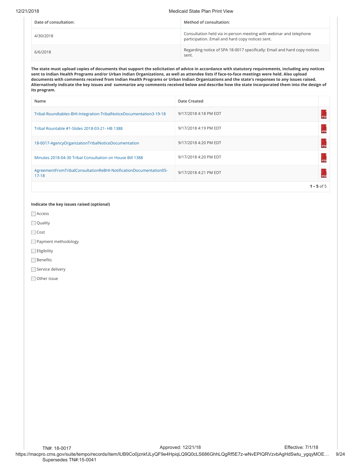#### 12/21/2018 Medicaid State Plan Print View

| Date of consultation: | Method of consultation:                                                                                                |
|-----------------------|------------------------------------------------------------------------------------------------------------------------|
| 4/30/2018             | Consultation held via in-person meeting with webinar and telephone<br>participation. Email and hard copy notices sent. |
| 6/6/2018              | Regarding notice of SPA 18-0017 specifically: Email and hard copy notices<br>sent.                                     |

**The state must upload copies of documents that support the solicitation of advice in accordance with statutory requirements, including any notices sent to Indian Health Programs and/or Urban Indian Organizations, as well as attendee lists if face-to-face meetings were held. Also upload documents with comments received from Indian Health Programs or Urban Indian Organizations and the state's responses to any issues raised. Alternatively indicate the key issues and summarize any comments received below and describe how the state incorporated them into the design of its program.**

| Name                                                                           | <b>Date Created</b>   |              |
|--------------------------------------------------------------------------------|-----------------------|--------------|
| Tribal-Roundtables-BHI-Integration-TribalNoticeDocumentation3-19-18            | 9/17/2018 4:18 PM EDT |              |
| Tribal Rountable #1-Slides 2018-03-21- HB 1388                                 | 9/17/2018 4:19 PM EDT |              |
| 18-0017-AgencyOrganizationTribalNoticeDocumentation                            | 9/17/2018 4:20 PM EDT |              |
| Minutes 2018-04-30 Tribal Consultation on House Bill 1388                      | 9/17/2018 4:20 PM EDT |              |
| AgreementFromTribalConsultationReBHI-NotificationDocumentation05-<br>$17 - 18$ | 9/17/2018 4:21 PM EDT |              |
|                                                                                |                       | $1 - 5$ of 5 |

### **Indicate the key issues raised (optional)**

Access

**Quality** 

Cost

Payment methodology

 $\Box$  Eligibility

 $\Box$  Benefits

Service delivery

Other issue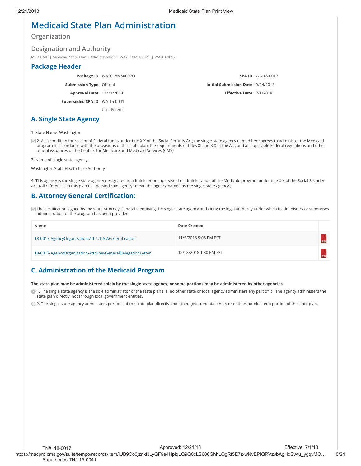## **Medicaid State Plan Administration**

## **Organization**

### **Designation and Authority**

MEDICAID | Medicaid State Plan | Administration | WA2018MS0007O | WA-18-0017

### **Package Header**

**Package ID** WA2018MS0007O

**Submission Type** Official

**Approval Date** 12/21/2018

**Superseded SPA ID** WA-15-0041

User-Entered

## **SPA ID** WA-18-0017 **Initial Submission Date** 9/24/2018 **Eſective Date** 7/1/2018

1. State Name: Washington

**A. Single State Agency**

☑ 2. As a condition for receipt of Federal funds under title XIX of the Social Security Act, the single state agency named here agrees to administer the Medicaid program in accordance with the provisions of this state plan, the requirements of titles XI and XIX of the Act, and all applicable Federal regulations and other official issuances of the Centers for Medicare and Medicaid Services (CMS).

3. Name of single state agency:

Washington State Health Care Authority

4. This agency is the single state agency designated to administer or supervise the administration of the Medicaid program under title XIX of the Social Security Act. (All references in this plan to "the Medicaid agency" mean the agency named as the single state agency.)

## **B. Attorney General Certiţcation:**

⊡ The certification signed by the state Attorney General identifying the single state agency and citing the legal authority under which it administers or supervises administration of the program has been provided.

| Name                                                       | Date Created           |  |
|------------------------------------------------------------|------------------------|--|
| 18-0017-AgencyOrganization-Att-1.1-A-AG-Certification      | 11/5/2018 5:05 PM EST  |  |
| 18-0017-AgencyOrganization-AttorneyGeneralDelegationLetter | 12/18/2018 1:30 PM EST |  |

## **C. Administration of the Medicaid Program**

### **The state plan may be administered solely by the single state agency, or some portions may be administered by other agencies.**

 $\bullet$  1. The single state agency is the sole administrator of the state plan (i.e. no other state or local agency administers any part of it). The agency administers the state plan directly, not through local government entities.

 $\bigcirc$  2. The single state agency administers portions of the state plan directly and other governmental entity or entities administer a portion of the state plan.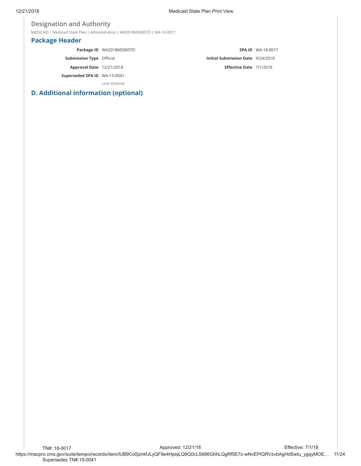## **Designation and Authority**

MEDICAID | Medicaid State Plan | Administration | WA2018MS0007O | WA-18-0017

## **Package Header**

|                                 | Package ID WA2018MS0007O |                                          | <b>SPA ID WA-18-0017</b> |
|---------------------------------|--------------------------|------------------------------------------|--------------------------|
| <b>Submission Type Official</b> |                          | <b>Initial Submission Date</b> 9/24/2018 |                          |
| <b>Approval Date</b> 12/21/2018 |                          | Effective Date 7/1/2018                  |                          |
| Superseded SPA ID WA-15-0041    |                          |                                          |                          |
|                                 | User-Entered             |                                          |                          |

## **D. Additional information (optional)**

https://macpro.cms.gov/suite/tempo/records/item/lUB9Co0jznkfJLyQF9e4HpiqLQ9Q0cLS686GhhLQgRf5E7z-wNvEPIQRVzvbAgHdSwtu\_ygqyMOE… 11/24 TN#: 18-0017 Supersedes TN#:15-0041 Approved: 12/21/18 Effective: 7/1/18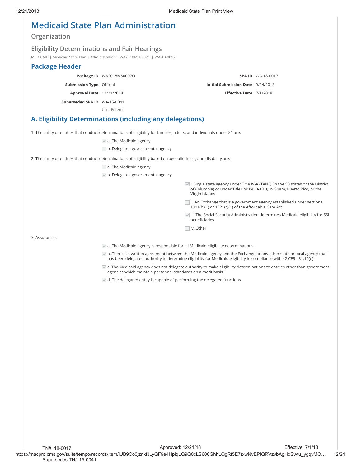## **Medicaid State Plan Administration**

## **Organization**

### **Eligibility Determinations and Fair Hearings**

MEDICAID | Medicaid State Plan | Administration | WA2018MS0007O | WA-18-0017

## **Package Header**

**Package ID** WA2018MS0007O

**Submission Type** Official

**Approval Date** 12/21/2018

**Superseded SPA ID** WA-15-0041

User-Entered

## **A. Eligibility Determinations (including any delegations)**

1. The entity or entities that conduct determinations of eligibility for families, adults, and individuals under 21 are:

 $\blacktriangleright$  a. The Medicaid agency

b. Delegated governmental agency

2. The entity or entities that conduct determinations of eligibility based on age, blindness, and disability are:

a. The Medicaid agency

b. Delegated governmental agency

 $\vee$  i. Single state agency under Title IV-A (TANF) (in the 50 states or the District of Columbia) or under Title I or XVI (AABD) in Guam, Puerto Rico, or the Virgin Islands

**SPA ID** WA-18-0017

**Initial Submission Date** 9/24/2018 **Eſective Date** 7/1/2018

ii. An Exchange that is a government agency established under sections 1311(b)(1) or 1321(c)(1) of the Affordable Care Act

 $\vee$  iii. The Social Security Administration determines Medicaid eligibility for SSI beneficiaries

iv. Other

3. Assurances:

 $\blacktriangleright$  a. The Medicaid agency is responsible for all Medicaid eligibility determinations.

b. There is a written agreement between the Medicaid agency and the Exchange or any other state or local agency that has been delegated authority to determine eligibility for Medicaid eligibility in compliance with 42 CFR 431.10(d).

 $\vee$  c. The Medicaid agency does not delegate authority to make eligibility determinations to entities other than government agencies which maintain personnel standards on a merit basis.

 $\vee$  d. The delegated entity is capable of performing the delegated functions.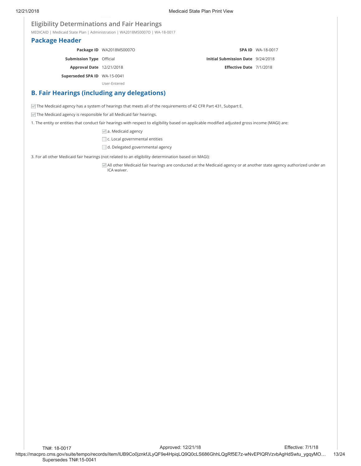**SPA ID** WA-18-0017

**Initial Submission Date** 9/24/2018 **Eſective Date** 7/1/2018

## **Eligibility Determinations and Fair Hearings**

MEDICAID | Medicaid State Plan | Administration | WA2018MS0007O | WA-18-0017

### **Package Header**

**Package ID** WA2018MS0007O

**Submission Type** Official

**Approval Date** 12/21/2018

**Superseded SPA ID** WA-15-0041

User-Entered

## **B. Fair Hearings (including any delegations)**

The Medicaid agency has a system of hearings that meets all of the requirements of 42 CFR Part 431, Subpart E.

 $\blacktriangleright$  The Medicaid agency is responsible for all Medicaid fair hearings.

1. The entity or entities that conduct fair hearings with respect to eligibility based on applicable modified adjusted gross income (MAGI) are:

 $\sqrt{a}$  a. Medicaid agency

□ c. Local governmental entities

d. Delegated governmental agency

3. For all other Medicaid fair hearings (not related to an eligibility determination based on MAGI):

All other Medicaid fair hearings are conducted at the Medicaid agency or at another state agency authorized under an ICA waiver.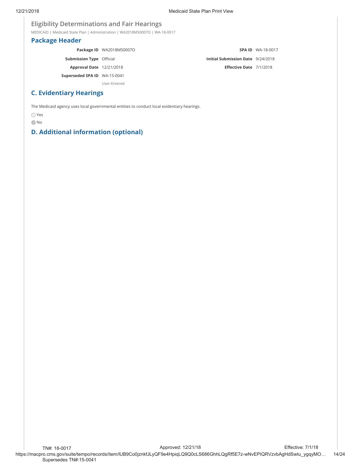## **Eligibility Determinations and Fair Hearings**

MEDICAID | Medicaid State Plan | Administration | WA2018MS0007O | WA-18-0017

## **Package Header**

|                                 | Package ID WA2018MS0007O |                                   | <b>SPA ID WA-18-0017</b> |
|---------------------------------|--------------------------|-----------------------------------|--------------------------|
| <b>Submission Type Official</b> |                          | Initial Submission Date 9/24/2018 |                          |
| <b>Approval Date</b> 12/21/2018 |                          | Effective Date 7/1/2018           |                          |
| Superseded SPA ID WA-15-0041    |                          |                                   |                          |
|                                 | User-Entered             |                                   |                          |

## **C. Evidentiary Hearings**

The Medicaid agency uses local governmental entities to conduct local evidentiary hearings.

Yes

**O** No

## **D. Additional information (optional)**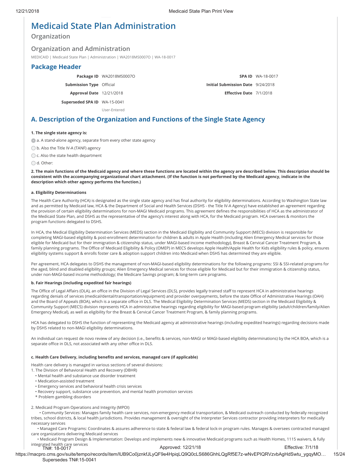## **Medicaid State Plan Administration**

**Organization**

### **Organization and Administration**

MEDICAID | Medicaid State Plan | Administration | WA2018MS0007O | WA-18-0017

### **Package Header**

**Package ID** WA2018MS0007O

**Submission Type** Official

**Approval Date** 12/21/2018

**Superseded SPA ID** WA-15-0041

User-Entered

**SPA ID** WA-18-0017 **Initial Submission Date** 9/24/2018 **Eſective Date** 7/1/2018

## **A. Description of the Organization and Functions of the Single State Agency**

### **1. The single state agency is:**

a. A stand-alone agency, separate from every other state agency

◯ b. Also the Title IV-A (TANF) agency

C c. Also the state health department

○ d. Other:

**2. The main functions of the Medicaid agency and where these functions are located within the agency are described below. This description should be consistent with the accompanying organizational chart attachment. (If the function is not performed by the Medicaid agency, indicate in the description which other agency performs the function.)**

#### **a. Eligibility Determinations**

The Health Care Authority (HCA) is designated as the single state agency and has final authority for eligibility determinations. According to Washington State law and as permitted by Medicaid law, HCA & the Department of Social and Health Services (DSHS - the Title IV-A Agency) have established an agreement regarding the provision of certain eligibility determinations for non-MAGI Medicaid programs. This agreement defines the responsibilities of HCA as the administrator of the Medicaid State Plan, and DSHS as the representative of the agency's interest along with HCA, for the Medicaid program. HCA oversees & monitors the program functions delegated to DSHS.

In HCA, the Medical Eligibility Determination Services (MEDS) section in the Medicaid Eligibility and Community Support (MECS) division is responsible for completing MAGI-based eligibility & post-enrollment determination for children & adults in Apple Health (including Alien Emergency Medical services for those eligible for Medicaid but for their immigration & citizenship status, under MAGI-based income methodology), Breast & Cervical Cancer Treatment Program, & family planning programs. The Office of Medicaid Eligibility & Policy (OMEP) in MECS develops Apple Health/Apple Health for Kids eligibility rules & policy, ensures eligibility systems support & enrolls foster care & adoption support children into Medicaid when DSHS has determined they are eligible.

Per agreement, HCA delegates to DSHS the management of non-MAGI-based eligibility determinations for the following programs: SSI & SSI-related programs for the aged, blind and disabled eligibility groups; Alien Emergency Medical services for those eligible for Medicaid but for their immigration & citizenship status, under non-MAGI-based income methodology; the Medicare Savings program; & long-term care programs.

### **b. Fair Hearings (including expedited fair hearings)**

The Office of Legal Affairs (OLA), an office in the Division of Legal Services (DLS), provides legally trained staff to represent HCA in administrative hearings regarding denials of services (medical/dental/transportation/equipment) and provider overpayments, before the state Office of Administrative Hearings (OAH) and the Board of Appeals (BOA), which is a separate office in DLS. The Medical Eligibility Determination Services (MEDS) section in the Medicaid Eligibility & Community Support (MECS) division represents HCA in administrative hearings regarding eligibility for MAGI-based program eligibility (adult/children/family/Alien Emergency Medical), as well as eligibility for the Breast & Cervical Cancer Treatment Program, & family planning programs.

HCA has delegated to DSHS the function of representing the Medicaid agency at administrative hearings (including expedited hearings) regarding decisions made by DSHS related to non-MAGI eligibility determinations.

An individual can request de novo review of any decision (i.e., benefits & services, non-MAGI or MAGI-based eligibility determinations) by the HCA BOA, which is a separate office in DLS, not associated with any other office in DLS.

### **c. Health Care Delivery, including beneţts and services, managed care (if applicable)**

Health care delivery is managed in various sections of several divisions:

1. The Division of Behavioral Health and Recovery (DBHR)

- Mental health and substance use disorder treatment
- Medication-assisted treatment
- Emergency services and behavioral health crisis services
- Recovery support, substance use prevention, and mental health promotion services
- \* Problem gambling disorders

2. Medicaid Program Operations and Integrity (MPOI)

 • Community Services: Manages family health care services, non-emergency medical transportation, & Medicaid outreach conducted by federally recognized tribes, school districts, & local health jurisdictions. Provides management & oversight of the Interpreter Services contractor providing interpreters for medically necessary services

 • Managed Care Programs: Coordinates & assures adherence to state & federal law & federal lock-in program rules. Manages & oversees contracted managed care organizations delivering Medicaid services

 • Medicaid Program Design & Implementation: Develops and implements new & innovative Medicaid programs such as Health Homes, 1115 waivers, & fully integrated health care services TN#: 18-0017 Approved: 12/21/18 Effective: 7/1/18

https://macpro.cms.gov/suite/tempo/records/item/lUB9Co0jznkfJLyQF9e4HpiqLQ9Q0cLS686GhhLQgRf5E7z-wNvEPIQRVzvbAgHdSwtu\_ygqyMO… 15/24 Supersedes TN#:15-0041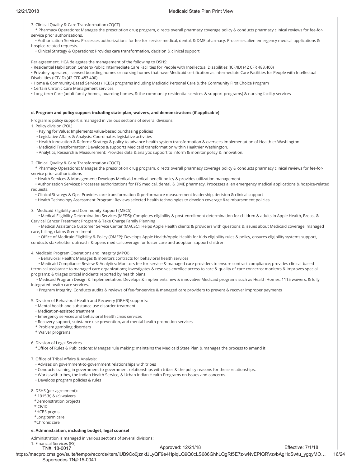#### 12/21/2018 Medicaid State Plan Print View

3. Clinical Quality & Care Transformation (CQCT)

 \* Pharmacy Operations: Manages the prescription drug program, directs overall pharmacy coverage policy & conducts pharmacy clinical reviews for fee-forservice prior authorizations.

 • Authorization Services: Processes authorizations for fee-for-service medical, dental, & DME pharmacy. Processes alien emergency medical applications & hospice-related requests.

• Clinical Strategy & Operations: Provides care transformation, decision & clinical support

Per agreement, HCA delegates the management of the following to DSHS:

• Residential Habilitation Centers/Public Intermediate Care Facilities for People with Intellectual Disabilities (ICF/ID) (42 CFR 483.400)

• Privately operated, licensed boarding homes or nursing homes that have Medicaid certification as Intermediate Care Facilities for People with Intellectual

Disabilities (ICF/ID) (42 CFR 483.400)

• Home & Community-Based Services (HCBS) programs including Medicaid Personal Care & the Community First Choice Program

• Certain Chronic Care Management services

• Long-term Care (adult family homes, boarding homes, & the community residential services & support programs) & nursing facility services

#### **d. Program and policy support including state plan, waivers, and demonstrations (if applicable)**

Program & policy support is managed in various sections of several divisions:

1. Policy division (POL)

- Paying for Value: Implements value-based purchasing policies
- Legislative Affairs & Analysis: Coordinates legislative activities
- Health Innovation & Reform: Strategy & policy to advance health system transformation & oversees implementation of Healthier Washington.

• Medicaid Transformation: Develops & supports Medicaid transformation within Healthier Washington.

• Analytics, Research & Measurement: Provides data & analytic support to inform & monitor policy & innovation.

2. Clinical Quality & Care Transformation (CQCT)

 \* Pharmacy Operations: Manages the prescription drug program, directs overall pharmacy coverage policy & conducts pharmacy clinical reviews for fee-forservice prior authorizations

• Health Services & Management: Develops Medicaid medical benefit policy & provides utilization management

 • Authorization Services: Processes authorizations for FFS medical, dental, & DME pharmacy. Processes alien emergency medical applications & hospice-related requests.

• Clinical Strategy & Ops: Provides care transformation & performance measurement leadership, decision & clinical support

• Health Technology Assessment Program: Reviews selected health technologies to develop coverage &reimbursement policies

3. Medicaid Eligibility and Community Support (MECS)

 • Medical Eligibility Determination Services (MEDS): Completes eligibility & post-enrollment determination for children & adults in Apple Health, Breast & Cervical Cancer Treatment Program & Take Charge Family Planning

 • Medical Assistance Customer Service Center (MACSC): Helps Apple Health clients & providers with questions & issues about Medicaid coverage, managed care, billing, claims & enrollment

· Office of Medicaid Eligibility & Policy (OMEP): Develops Apple Health/Apple Health for Kids eligibility rules & policy, ensures eligibility systems support, conducts stakeholder outreach, & opens medical coverage for foster care and adoption support children

4. Medicaid Program Operations and Integrity (MPOI)

• Behavioral Health: Manages & monitors contracts for behavioral health services

 • Medicaid Compliance Review & Analytics: Monitors fee-for-service & managed care providers to ensure contract compliance; provides clinical-based technical assistance to managed care organizations; investigates & resolves enrollee access to care & quality of care concerns; monitors & improves special programs; & triages critical incidents reported by health plans.

 • Medicaid Program Design & Implementation: Develops & implements new & innovative Medicaid programs such as Health Homes, 1115 waivers, & fully integrated health care services.

• Program Integrity: Conducts audits & reviews of fee-for-service & managed care providers to prevent & recover improper payments

5. Division of Behavioral Health and Recovery (DBHR) supports:

- Mental health and substance use disorder treatment
- Medication-assisted treatment
- Emergency services and behavioral health crisis services
- Recovery support, substance use prevention, and mental health promotion services
- \* Problem gambling disorders
- \* Waiver programs

#### 6. Division of Legal Services

\*OŰce of Rules & Publications: Manages rule making; maintains the Medicaid State Plan & manages the process to amend it

7. Office of Tribal Affairs & Analysis:

- Advises on government-to-government relationships with tribes
- Conducts training in government-to-government relationships with tribes & the policy reasons for these relationships.
- Works with tribes, the Indian Health Service, & Urban Indian Health Programs on issues and concerns.
- Develops program policies & rules

8. DSHS (per agreement):

- \* 1915(b) & (c) waivers
- \*Demonstration projects

\*ICF/ID

\*HCBS prgms

 \*Long term care \*Chronic care

## **e. Administration, including budget, legal counsel**

Administration is managed in various sections of several divisions:

1. Financial Services (FS)

TN#: 18-0017

#### Approved: 12/21/18 Effective: 7/1/18

https://macpro.cms.gov/suite/tempo/records/item/lUB9Co0jznkfJLyQF9e4HpiqLQ9Q0cLS686GhhLQgRf5E7z-wNvEPIQRVzvbAgHdSwtu\_ygqyMO… 16/24 Supersedes TN#:15-0041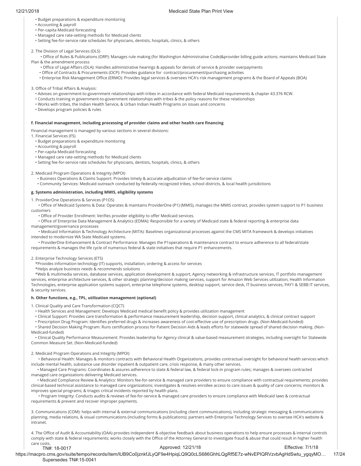- Budget preparations & expenditure monitoring
- Accounting & payroll
- Per-capita Medicaid forecasting
- Managed care rate-setting methods for Medicaid clients
- Setting fee-for-service rate schedules for physicians, dentists, hospitals, clinics, & others

2. The Division of Legal Services (DLS)

• Office of Rules & Publications (ORP): Manages rule making (for Washington Administrative Code)&provider billing guide actions; maintains Medicaid State Plan & the amendment process

- Office of Legal Affairs (OLA): Handles administrative hearings & appeals for denials of service & provider overpayments
- Office of Contracts & Procurements (OCP): Provides guidance for contract/procurement/purchasing activities
- Enterprise Risk Management Office (ERMO): Provides legal services & oversees HCA's risk management programs & the Board of Appeals (BOA)

### 3. Office of Tribal Affairs & Analysis:

- Advises on government-to-government relationships with tribes in accordance with federal Medicaid requirements & chapter 43.376 RCW.
- Conducts training in government-to-government relationships with tribes & the policy reasons for these relationships
- Works with tribes, the Indian Health Service, & Urban Indian Health Programs on issues and concerns
- Develops program policies & rules

### **f. Financial management, including processing of provider claims and other health care ţnancing**

Financial management is managed by various sections in several divisions:

1. Financial Services (FS)

• Budget preparations & expenditure monitoring

- Accounting & payroll
- Per-capita Medicaid forecasting
- Managed care rate-setting methods for Medicaid clients

• Setting fee-for-service rate schedules for physicians, dentists, hospitals, clinics, & others

2. Medicaid Program Operations & Integrity (MPOI)

 • Business Operations & Claims Support: Provides timely & accurate adjudication of fee-for-service claims • Community Services: Medicaid outreach conducted by federally recognized tribes, school districts, & local health jurisdictions

### **g. Systems administration, including MMIS, eligibility systems**

1. ProviderOne Operations & Services (P1OS)

• Office of Medicaid Systems & Data: Operates & maintains ProviderOne (P1) (MMIS), manages the MMIS contract, provides system support to P1 business customers

• Office of Provider Enrollment: Verifies provider eligibility to offer Medicaid services.

• Office of Enterprise Data Management & Analytics (EDMA): Responsible for a variety of Medicaid state & federal reporting & enterprise data management/governance processes

 • Medicaid Information & Technology Architecture (MITA): Baselines organizational processes against the CMS MITA framework & develops initiatives intended to modernize WA State Medicaid systems.

 • ProviderOne Enhancement & Contract Performance: Manages the P1operations & maintenance contract to ensure adherence to all federal/state requirements & manages the life cycle of numerous federal & state initiatives that require P1 enhancements.

2. Enterprise Technology Services (ETS)

\*Provides information technology (IT) supports, installation, ordering & access for services

\*Helps analyze business needs & recommends solutions

 \*Web & multimedia services, database services, application development & support, Agency networking & infrastructure services, IT portfolio management services, enterprise architecture services, & other strategic planning/decision making services, support for Amazon Web Services utilization, Health Information Technologies, enterprise application systems support, enterprise telephone systems, desktop support, service desk, IT business services, PAY1 & SEBB IT services, & security services.

### **h. Other functions, e.g., TPL, utilization management (optional)**

1. Clinical Quality and Care Transformation (CQCT)

- Health Services and Management: Develops Medicaid medical benefit policy & provides utilization management
- Clinical Support: Provides care transformation & performance measurement leadership, decision support, clinical analytics, & clinical contract support
- Prescription Drug Program: Identifies preferred drugs & increases awareness of cost-effective use of prescription drugs. (Non-Medicaid-funded)

· Shared Decision Making Program: Runs certification process for Patient Decision Aids & leads efforts for statewide spread of shared decision making. (Non-Medicaid-funded)

 • Clinical Quality Performance Measurement: Provides leadership for Agency clinical & value-based measurement strategies, including oversight for Statewide Common Measure Set. (Non-Medicaid-funded)

### 2. Medicaid Program Operations and Integrity (MPOI)

 • Behavioral Health: Manages & monitors contracts with Behavioral Health Organizations, provides contractual oversight for behavioral health services which include mental health, substance use disorder inpatient & outpatient care, crisis response, & many other services.

 • Managed Care Programs: Coordinates & assures adherence to state & federal law, & federal lock-in program rules; manages & oversees contracted managed care organizations delivering Medicaid services.

 • Medicaid Compliance Review & Analytics: Monitors fee-for-service & managed care providers to ensure compliance with contractual requirements; provides clinical-based technical assistance to managed care organizations; investigates & resolves enrollee access to care issues & quality of care concerns; monitors & improves special programs; & triages critical incidents reported by health plans.

 • Program Integrity: Conducts audits & reviews of fee-for-service & managed care providers to ensure compliance with Medicaid laws & contractual requirements & prevent and recover improper payments.

3. Communications (COM): helps with internal & external communications (including client communications), including strategic messaging & communications planning, media relations, & visual communications (including forms & publications); partners with Enterprise Technology Services to oversee HCA's website & intranet.

4. The Office of Audit & Accountability (OAA) provides independent & objective feedback about business operations to help ensure processes & internal controls comply with state & federal requirements; works closely with the Office of the Attorney General to investigate fraud & abuse that could result in higher health care costs Approved: 12/21/18 Effective: 7/1/18

### TN#: 18-0017

https://macpro.cms.gov/suite/tempo/records/item/lUB9Co0jznkfJLyQF9e4HpiqLQ9Q0cLS686GhhLQgRf5E7z-wNvEPIQRVzvbAgHdSwtu\_ygqyMO… 17/24 Supersedes TN#:15-0041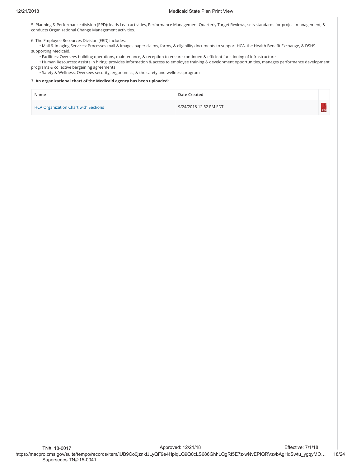5. Planning & Performance division (PPD): leads Lean activities, Performance Management Quarterly Target Reviews, sets standards for project management, & conducts Organizational Change Management activities.

6. The Employee Resources Division (ERD) includes:

• Mail & Imaging Services: Processes mail & images paper claims, forms, & eligibility documents to support HCA, the Health Benefit Exchange, & DSHS supporting Medicaid.

• Facilities: Oversees building operations, maintenance, & reception to ensure continued & efficient functioning of infrastructure

• Human Resources: Assists in hiring; provides information & access to employee training & development opportunities, manages performance development programs & collective bargaining agreements

• Safety & Wellness: Oversees security, ergonomics, & the safety and wellness program

### **3. An organizational chart of the Medicaid agency has been uploaded:**

| Name                                        | Date Created           |  |
|---------------------------------------------|------------------------|--|
| <b>HCA Organization Chart with Sections</b> | 9/24/2018 12:52 PM EDT |  |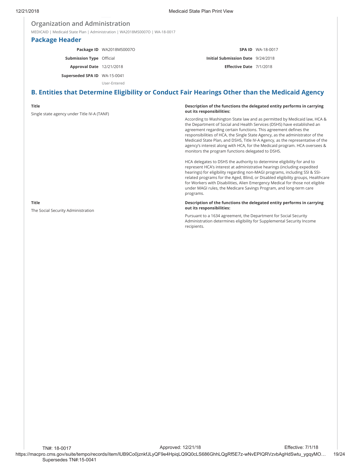## **Organization and Administration**

MEDICAID | Medicaid State Plan | Administration | WA2018MS0007O | WA-18-0017

### **Package Header**

**Package ID** WA2018MS0007O

**Submission Type** Official

**Approval Date** 12/21/2018

**Superseded SPA ID** WA-15-0041

User-Entered

## **B. Entities that Determine Eligibility or Conduct Fair Hearings Other than the Medicaid Agency**

### **Title**

Single state agency under Title IV-A (TANF)

#### **Description of the functions the delegated entity performs in carrying out its responsibilities:**

**SPA ID** WA-18-0017

**Initial Submission Date** 9/24/2018 **Eſective Date** 7/1/2018

According to Washington State law and as permitted by Medicaid law, HCA & the Department of Social and Health Services (DSHS) have established an agreement regarding certain functions. This agreement defines the responsibilities of HCA, the Single State Agency, as the administrator of the Medicaid State Plan, and DSHS, Title IV-A Agency, as the representative of the agency's interest along with HCA, for the Medicaid program. HCA oversees & monitors the program functions delegated to DSHS.

HCA delegates to DSHS the authority to determine eligibility for and to represent HCA's interest at administrative hearings (including expedited hearings) for eligibility regarding non-MAGI programs, including SSI & SSIrelated programs for the Aged, Blind, or Disabled eligibility groups, Healthcare for Workers with Disabilities, Alien Emergency Medical for those not eligible under MAGI rules, the Medicare Savings Program, and long-term care programs.

#### **Description of the functions the delegated entity performs in carrying out its responsibilities:**

Pursuant to a 1634 agreement, the Department for Social Security Administration determines eligibility for Supplemental Security Income recipients.

**Title**

The Social Security Administration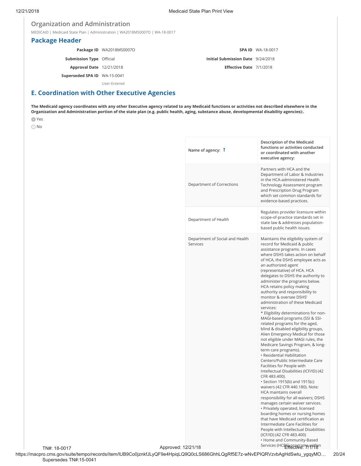## **Organization and Administration**

MEDICAID | Medicaid State Plan | Administration | WA2018MS0007O | WA-18-0017

## **Package Header**

**Package ID** WA2018MS0007O **Submission Type** Official **Approval Date** 12/21/2018 **Superseded SPA ID** WA-15-0041

**SPA ID** WA-18-0017 **Initial Submission Date** 9/24/2018 **Eſective Date** 7/1/2018

User-Entered

## **E. Coordination with Other Executive Agencies**

**The Medicaid agency coordinates with any other Executive agency related to any Medicaid functions or activities not described elsewhere in the Organization and Administration portion of the state plan (e.g. public health, aging, substance abuse, developmental disability agencies):.**

- Yes
- O No

| Name of agency: 1                           | Description of the Medicaid<br>functions or activities conducted<br>or coordinated with another<br>executive agency:                                                                                                                                                                                                                                                                                                                                                                                                                                                                                                                                                                                                                                                                                                                                                                                                                                                                                                                                                                                                                                                                                                                                                                                                                                   |
|---------------------------------------------|--------------------------------------------------------------------------------------------------------------------------------------------------------------------------------------------------------------------------------------------------------------------------------------------------------------------------------------------------------------------------------------------------------------------------------------------------------------------------------------------------------------------------------------------------------------------------------------------------------------------------------------------------------------------------------------------------------------------------------------------------------------------------------------------------------------------------------------------------------------------------------------------------------------------------------------------------------------------------------------------------------------------------------------------------------------------------------------------------------------------------------------------------------------------------------------------------------------------------------------------------------------------------------------------------------------------------------------------------------|
| Department of Corrections                   | Partners with HCA and the<br>Department of Labor & Industries<br>in the HCA-administered Health<br>Technology Assessment program<br>and Prescription Drug Program<br>which set common standards for<br>evidence-based practices.                                                                                                                                                                                                                                                                                                                                                                                                                                                                                                                                                                                                                                                                                                                                                                                                                                                                                                                                                                                                                                                                                                                       |
| Department of Health                        | Regulates provider licensure within<br>scope-of-practice standards set in<br>state law & addresses population-<br>based public health issues.                                                                                                                                                                                                                                                                                                                                                                                                                                                                                                                                                                                                                                                                                                                                                                                                                                                                                                                                                                                                                                                                                                                                                                                                          |
| Department of Social and Health<br>Services | Maintains the eligibility system of<br>record for Medicaid & public<br>assistance programs. In cases<br>where DSHS takes action on behalf<br>of HCA, the DSHS employee acts as<br>an authorized agent<br>(representative) of HCA. HCA<br>delegates to DSHS the authority to<br>administer the programs below.<br>HCA retains policy making<br>authority and responsibility to<br>monitor & oversee DSHS'<br>administration of these Medicaid<br>services:<br>* Eligibility determinations for non-<br>MAGI-based programs (SSI & SSI-<br>related programs for the aged,<br>blind & disabled eligibility groups,<br>Alien Emergency Medical for those<br>not eligible under MAGI rules, the<br>Medicare Savings Program, & long-<br>term care programs).<br>· Residential Habilitation<br>Centers/Public Intermediate Care<br>Facilities for People with<br>Intellectual Disabilities (ICF/ID) (42<br>CFR 483.400).<br>• Section 1915(b) and 1915(c)<br>waivers (42 CFR 440.180). Note:<br><b>HCA maintains overall</b><br>responsibility for all waivers; DSHS<br>manages certain waiver services.<br>• Privately operated, licensed<br>boarding homes or nursing homes<br>that have Medicaid certification as<br>Intermediate Care Facilities for<br>People with Intellectual Disabilities<br>(ICF/ID) (42 CFR 483.400)<br>• Home and Community-Based |
| 12/21/18                                    | Services (HCPETRECTRE, Millen                                                                                                                                                                                                                                                                                                                                                                                                                                                                                                                                                                                                                                                                                                                                                                                                                                                                                                                                                                                                                                                                                                                                                                                                                                                                                                                          |

TN#: 18-0017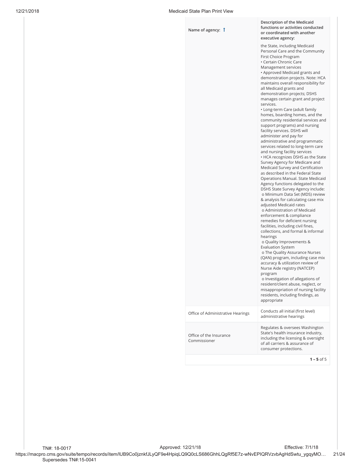| Name of agency: 1                       | Description of the Medicaid<br>functions or activities conducted<br>or coordinated with another<br>executive agency:                                                                                                                                                                                                                                                                                                                                                                                                                                                                                                                                                                                                                                                                                                                                                                                                                                                                                                                                                                                                                                                                                                                                                                                                                                                                                                                                                                                                                                                                                                                  |
|-----------------------------------------|---------------------------------------------------------------------------------------------------------------------------------------------------------------------------------------------------------------------------------------------------------------------------------------------------------------------------------------------------------------------------------------------------------------------------------------------------------------------------------------------------------------------------------------------------------------------------------------------------------------------------------------------------------------------------------------------------------------------------------------------------------------------------------------------------------------------------------------------------------------------------------------------------------------------------------------------------------------------------------------------------------------------------------------------------------------------------------------------------------------------------------------------------------------------------------------------------------------------------------------------------------------------------------------------------------------------------------------------------------------------------------------------------------------------------------------------------------------------------------------------------------------------------------------------------------------------------------------------------------------------------------------|
|                                         | the State, including Medicaid<br>Personal Care and the Community<br>First Choice Program<br>• Certain Chronic Care<br>Management services<br>• Approved Medicaid grants and<br>demonstration projects. Note: HCA<br>maintains overall responsibility for<br>all Medicaid grants and<br>demonstration projects; DSHS<br>manages certain grant and project<br>services.<br>• Long-term Care (adult family<br>homes, boarding homes, and the<br>community residential services and<br>support programs) and nursing<br>facility services. DSHS will<br>administer and pay for<br>administrative and programmatic<br>services related to long-term care<br>and nursing facility services<br>• HCA recognizes DSHS as the State<br>Survey Agency for Medicare and<br>Medicaid Survey and Certification<br>as described in the Federal State<br>Operations Manual. State Medicaid<br>Agency functions delegated to the<br>DSHS State Survey Agency include:<br>o Minimum Data Set (MDS) review<br>& analysis for calculating case mix<br>adjusted Medicaid rates<br>o Administration of Medicaid<br>enforcement & compliance<br>remedies for deficient nursing<br>facilities, including civil fines,<br>collections, and formal & informal<br>hearings<br>o Quality Improvements &<br><b>Evaluation System</b><br>o The Quality Assurance Nurses<br>(QAN) program, including case mix<br>accuracy & utilization review of<br>Nurse Aide registry (NATCEP)<br>program<br>o Investigation of allegations of<br>resident/client abuse, neglect, or<br>misappropriation of nursing facility<br>residents, including findings, as<br>appropriate |
| Office of Administrative Hearings       | Conducts all initial (first level)<br>administrative hearings                                                                                                                                                                                                                                                                                                                                                                                                                                                                                                                                                                                                                                                                                                                                                                                                                                                                                                                                                                                                                                                                                                                                                                                                                                                                                                                                                                                                                                                                                                                                                                         |
| Office of the Insurance<br>Commissioner | Regulates & oversees Washington<br>State's health insurance industry,<br>including the licensing & oversight<br>of all carriers & assurance of<br>consumer protections.                                                                                                                                                                                                                                                                                                                                                                                                                                                                                                                                                                                                                                                                                                                                                                                                                                                                                                                                                                                                                                                                                                                                                                                                                                                                                                                                                                                                                                                               |
|                                         | $1 - 5$ of 5                                                                                                                                                                                                                                                                                                                                                                                                                                                                                                                                                                                                                                                                                                                                                                                                                                                                                                                                                                                                                                                                                                                                                                                                                                                                                                                                                                                                                                                                                                                                                                                                                          |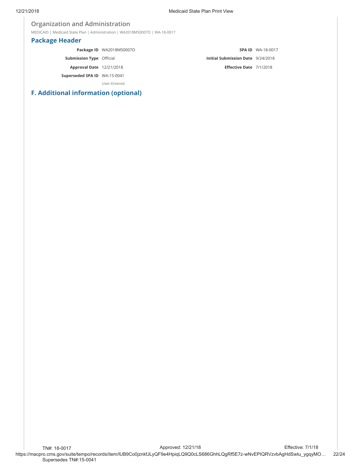## **Organization and Administration**

MEDICAID | Medicaid State Plan | Administration | WA2018MS0007O | WA-18-0017

## **Package Header**

|                                 | Package ID WA2018MS0007O |                                   | <b>SPA ID WA-18-0017</b> |
|---------------------------------|--------------------------|-----------------------------------|--------------------------|
| <b>Submission Type Official</b> |                          | Initial Submission Date 9/24/2018 |                          |
| <b>Approval Date</b> 12/21/2018 |                          | Effective Date 7/1/2018           |                          |
| Superseded SPA ID WA-15-0041    |                          |                                   |                          |
|                                 | User-Entered             |                                   |                          |

## **F. Additional information (optional)**

https://macpro.cms.gov/suite/tempo/records/item/lUB9Co0jznkfJLyQF9e4HpiqLQ9Q0cLS686GhhLQgRf5E7z-wNvEPIQRVzvbAgHdSwtu\_ygqyMO… 22/24 TN#: 18-0017 Supersedes TN#:15-0041 Approved: 12/21/18 Effective: 7/1/18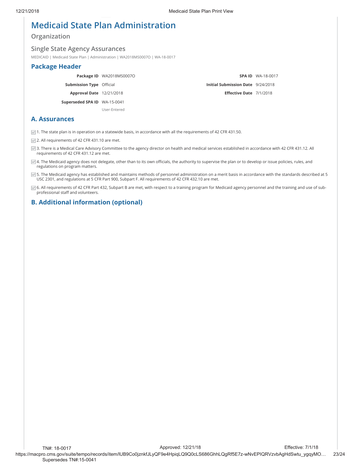## **Medicaid State Plan Administration**

**Organization**

### **Single State Agency Assurances**

MEDICAID | Medicaid State Plan | Administration | WA2018MS0007O | WA-18-0017

## **Package Header**

|                                 | Package ID WA2018MS0007O |                                          | <b>SPA ID WA-18-0017</b> |
|---------------------------------|--------------------------|------------------------------------------|--------------------------|
| <b>Submission Type Official</b> |                          | <b>Initial Submission Date</b> 9/24/2018 |                          |
| <b>Approval Date</b> 12/21/2018 |                          | Effective Date 7/1/2018                  |                          |
| Superseded SPA ID WA-15-0041    |                          |                                          |                          |
|                                 | User-Entered             |                                          |                          |

## **A. Assurances**

 $\vee$  1. The state plan is in operation on a statewide basis, in accordance with all the requirements of 42 CFR 431.50.

 $\vee$  2. All requirements of 42 CFR 431.10 are met.

■ 3. There is a Medical Care Advisory Committee to the agency director on health and medical services established in accordance with 42 CFR 431.12. All requirements of 42 CFR 431.12 are met.

☑ 4. The Medicaid agency does not delegate, other than to its own officials, the authority to supervise the plan or to develop or issue policies, rules, and regulations on program matters.

 $\blacktriangleright$  5. The Medicaid agency has established and maintains methods of personnel administration on a merit basis in accordance with the standards described at 5 USC 2301, and regulations at 5 CFR Part 900, Subpart F. All requirements of 42 CFR 432.10 are met.

○ 6. All requirements of 42 CFR Part 432, Subpart B are met, with respect to a training program for Medicaid agency personnel and the training and use of subprofessional staff and volunteers.

## **B. Additional information (optional)**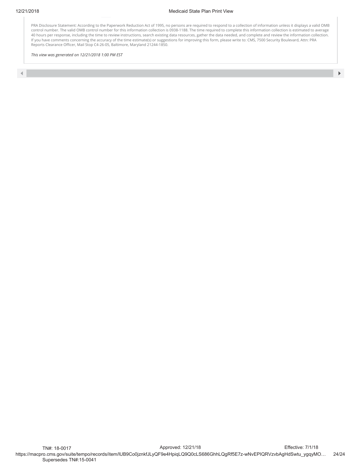PRA Disclosure Statement: According to the Paperwork Reduction Act of 1995, no persons are required to respond to a collection of information unless it displays a valid OMB control number. The valid OMB control number for this information collection is 0938-1188. The time required to complete this information collection is estimated to average 40 hours per response, including the time to review instructions, search existing data resources, gather the data needed, and complete and review the information collection. If you have comments concerning the accuracy of the time estimate(s) or suggestions for improving this form, please write to: CMS, 7500 Security Boulevard, Attn: PRA Reports Clearance Officer, Mail Stop C4-26-05, Baltimore, Maryland 21244-1850.

*This view was generated on 12/21/2018 1:00 PM EST*